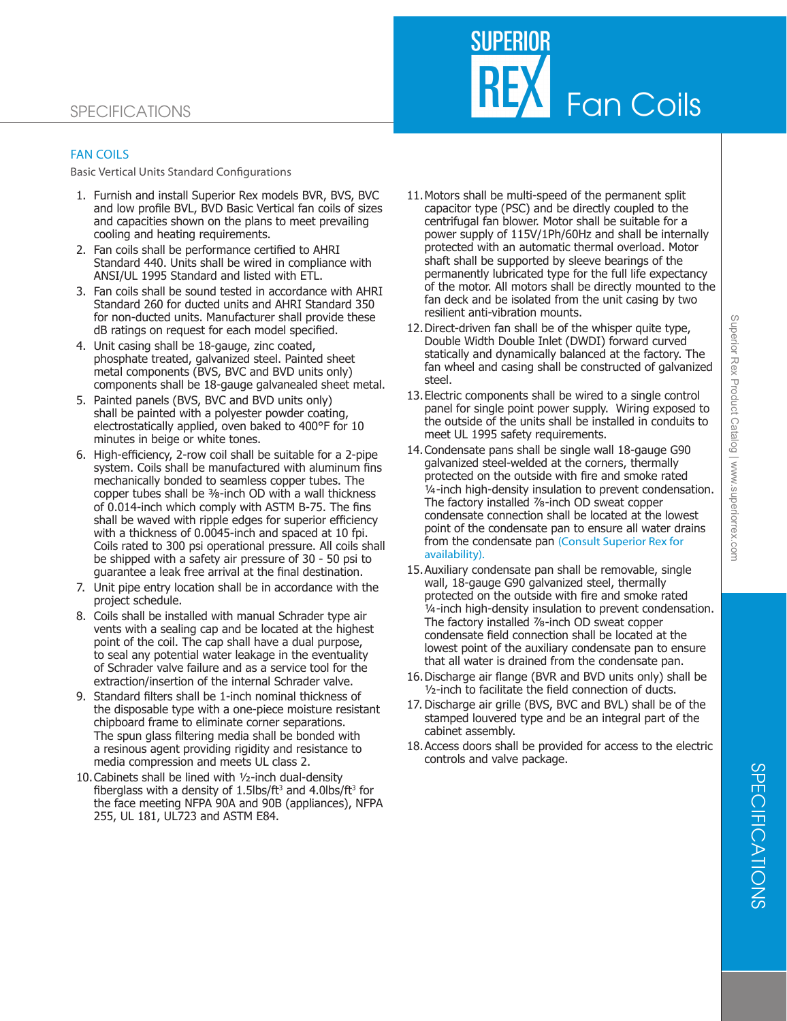

### FAN COILS

Basic Vertical Units Standard Configurations

- 1. Furnish and install Superior Rex models BVR, BVS, BVC and low profile BVL, BVD Basic Vertical fan coils of sizes and capacities shown on the plans to meet prevailing cooling and heating requirements.
- 2. Fan coils shall be performance certified to AHRI Standard 440. Units shall be wired in compliance with ANSI/UL 1995 Standard and listed with ETL.
- 3. Fan coils shall be sound tested in accordance with AHRI Standard 260 for ducted units and AHRI Standard 350 for non-ducted units. Manufacturer shall provide these dB ratings on request for each model specified.
- 4. Unit casing shall be 18-gauge, zinc coated, phosphate treated, galvanized steel. Painted sheet metal components (BVS, BVC and BVD units only) components shall be 18-gauge galvanealed sheet metal.
- 5. Painted panels (BVS, BVC and BVD units only) shall be painted with a polyester powder coating, electrostatically applied, oven baked to 400°F for 10 minutes in beige or white tones.
- 6. High-efficiency, 2-row coil shall be suitable for a 2-pipe system. Coils shall be manufactured with aluminum fins mechanically bonded to seamless copper tubes. The copper tubes shall be <sup>3</sup>/8-inch OD with a wall thickness of 0.014-inch which comply with ASTM B-75. The fins shall be waved with ripple edges for superior efficiency with a thickness of 0.0045-inch and spaced at 10 fpi. Coils rated to 300 psi operational pressure. All coils shall be shipped with a safety air pressure of 30 - 50 psi to guarantee a leak free arrival at the final destination.
- 7. Unit pipe entry location shall be in accordance with the project schedule.
- 8. Coils shall be installed with manual Schrader type air vents with a sealing cap and be located at the highest point of the coil. The cap shall have a dual purpose, to seal any potential water leakage in the eventuality of Schrader valve failure and as a service tool for the extraction/insertion of the internal Schrader valve.
- 9. Standard filters shall be 1-inch nominal thickness of the disposable type with a one-piece moisture resistant chipboard frame to eliminate corner separations. The spun glass filtering media shall be bonded with a resinous agent providing rigidity and resistance to media compression and meets UL class 2.
- 10.Cabinets shall be lined with ½-inch dual-density fiberglass with a density of 1.5lbs/ft<sup>3</sup> and 4.0lbs/ft<sup>3</sup> for the face meeting NFPA 90A and 90B (appliances), NFPA 255, UL 181, UL723 and ASTM E84.
- 11.Motors shall be multi-speed of the permanent split capacitor type (PSC) and be directly coupled to the centrifugal fan blower. Motor shall be suitable for a power supply of 115V/1Ph/60Hz and shall be internally protected with an automatic thermal overload. Motor shaft shall be supported by sleeve bearings of the permanently lubricated type for the full life expectancy of the motor. All motors shall be directly mounted to the fan deck and be isolated from the unit casing by two resilient anti-vibration mounts.
- 12.Direct-driven fan shall be of the whisper quite type, Double Width Double Inlet (DWDI) forward curved statically and dynamically balanced at the factory. The fan wheel and casing shall be constructed of galvanized steel.
- 13.Electric components shall be wired to a single control panel for single point power supply. Wiring exposed to the outside of the units shall be installed in conduits to meet UL 1995 safety requirements.
- 14.Condensate pans shall be single wall 18-gauge G90 galvanized steel-welded at the corners, thermally protected on the outside with fire and smoke rated ¼-inch high-density insulation to prevent condensation. The factory installed ⅞-inch OD sweat copper condensate connection shall be located at the lowest point of the condensate pan to ensure all water drains from the condensate pan (Consult Superior Rex for availability).
- 15.Auxiliary condensate pan shall be removable, single wall, 18-gauge G90 galvanized steel, thermally protected on the outside with fire and smoke rated ¼-inch high-density insulation to prevent condensation. The factory installed ⅞-inch OD sweat copper condensate field connection shall be located at the lowest point of the auxiliary condensate pan to ensure that all water is drained from the condensate pan.
- 16.Discharge air flange (BVR and BVD units only) shall be ½-inch to facilitate the field connection of ducts.
- 17. Discharge air grille (BVS, BVC and BVL) shall be of the stamped louvered type and be an integral part of the cabinet assembly.
- 18.Access doors shall be provided for access to the electric controls and valve package.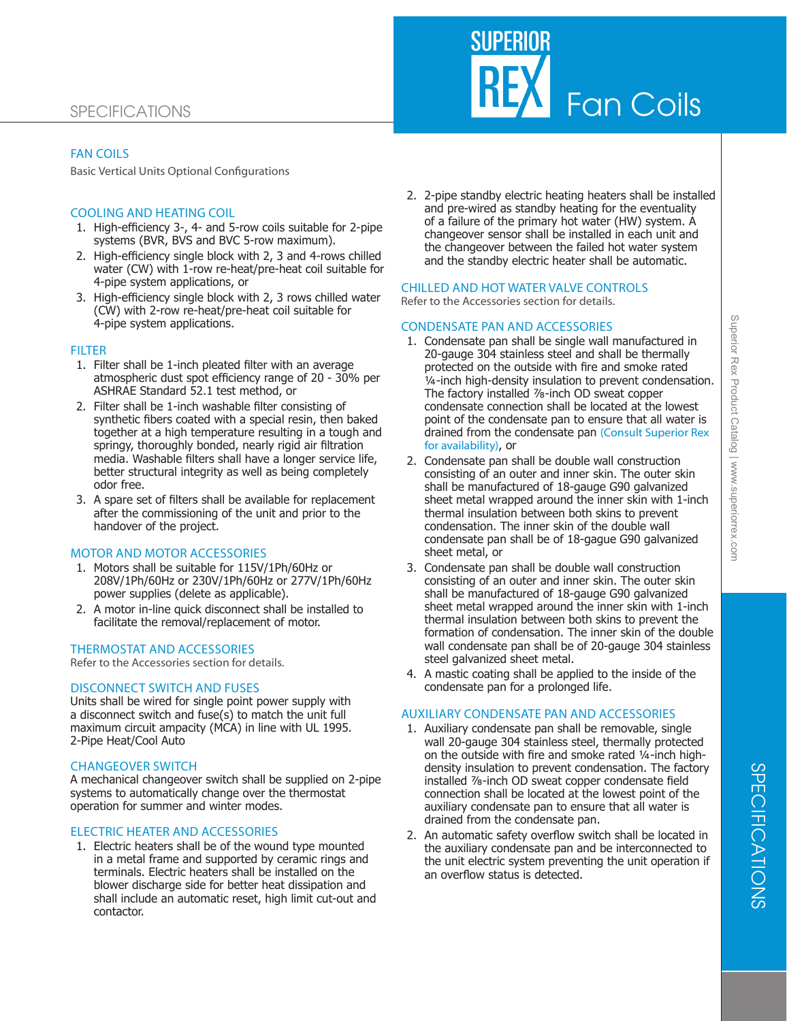# SPECIFICATIONS

# FAN COILS

Basic Vertical Units Optional Configurations

### COOLING AND HEATING COIL

- 1. High-efficiency 3-, 4- and 5-row coils suitable for 2-pipe systems (BVR, BVS and BVC 5-row maximum).
- 2. High-efficiency single block with 2, 3 and 4-rows chilled water (CW) with 1-row re-heat/pre-heat coil suitable for 4-pipe system applications, or
- 3. High-efficiency single block with 2, 3 rows chilled water (CW) with 2-row re-heat/pre-heat coil suitable for 4-pipe system applications.

#### **FILTER**

- 1. Filter shall be 1-inch pleated filter with an average atmospheric dust spot efficiency range of 20 - 30% per ASHRAE Standard 52.1 test method, or
- 2. Filter shall be 1-inch washable filter consisting of synthetic fibers coated with a special resin, then baked together at a high temperature resulting in a tough and springy, thoroughly bonded, nearly rigid air filtration media. Washable filters shall have a longer service life, better structural integrity as well as being completely odor free.
- 3. A spare set of filters shall be available for replacement after the commissioning of the unit and prior to the handover of the project.

#### MOTOR AND MOTOR ACCESSORIES

- 1. Motors shall be suitable for 115V/1Ph/60Hz or 208V/1Ph/60Hz or 230V/1Ph/60Hz or 277V/1Ph/60Hz power supplies (delete as applicable).
- 2. A motor in-line quick disconnect shall be installed to facilitate the removal/replacement of motor.

#### THERMOSTAT AND ACCESSORIES

Refer to the Accessories section for details.

#### DISCONNECT SWITCH AND FUSES

Units shall be wired for single point power supply with a disconnect switch and fuse(s) to match the unit full maximum circuit ampacity (MCA) in line with UL 1995. 2-Pipe Heat/Cool Auto

#### CHANGEOVER SWITCH

A mechanical changeover switch shall be supplied on 2-pipe systems to automatically change over the thermostat operation for summer and winter modes.

#### ELECTRIC HEATER AND ACCESSORIES

1. Electric heaters shall be of the wound type mounted in a metal frame and supported by ceramic rings and terminals. Electric heaters shall be installed on the blower discharge side for better heat dissipation and shall include an automatic reset, high limit cut-out and contactor.

2. 2-pipe standby electric heating heaters shall be installed and pre-wired as standby heating for the eventuality of a failure of the primary hot water (HW) system. A changeover sensor shall be installed in each unit and the changeover between the failed hot water system and the standby electric heater shall be automatic.

# CHILLED AND HOT WATER VALVE CONTROLS

Refer to the Accessories section for details.

#### CONDENSATE PAN AND ACCESSORIES

- 1. Condensate pan shall be single wall manufactured in 20-gauge 304 stainless steel and shall be thermally protected on the outside with fire and smoke rated ¼-inch high-density insulation to prevent condensation. The factory installed ⅞-inch OD sweat copper condensate connection shall be located at the lowest point of the condensate pan to ensure that all water is drained from the condensate pan (Consult Superior Rex for availability), or
- 2. Condensate pan shall be double wall construction consisting of an outer and inner skin. The outer skin shall be manufactured of 18-gauge G90 galvanized sheet metal wrapped around the inner skin with 1-inch thermal insulation between both skins to prevent condensation. The inner skin of the double wall condensate pan shall be of 18-gague G90 galvanized sheet metal, or
- 3. Condensate pan shall be double wall construction consisting of an outer and inner skin. The outer skin shall be manufactured of 18-gauge G90 galvanized sheet metal wrapped around the inner skin with 1-inch thermal insulation between both skins to prevent the formation of condensation. The inner skin of the double wall condensate pan shall be of 20-gauge 304 stainless steel galvanized sheet metal.
- 4. A mastic coating shall be applied to the inside of the condensate pan for a prolonged life.

#### AUXILIARY CONDENSATE PAN AND ACCESSORIES

- 1. Auxiliary condensate pan shall be removable, single wall 20-gauge 304 stainless steel, thermally protected on the outside with fire and smoke rated ¼-inch highdensity insulation to prevent condensation. The factory installed ⅞-inch OD sweat copper condensate field connection shall be located at the lowest point of the auxiliary condensate pan to ensure that all water is drained from the condensate pan.
- 2. An automatic safety overflow switch shall be located in the auxiliary condensate pan and be interconnected to the unit electric system preventing the unit operation if an overflow status is detected.

Fan Coils